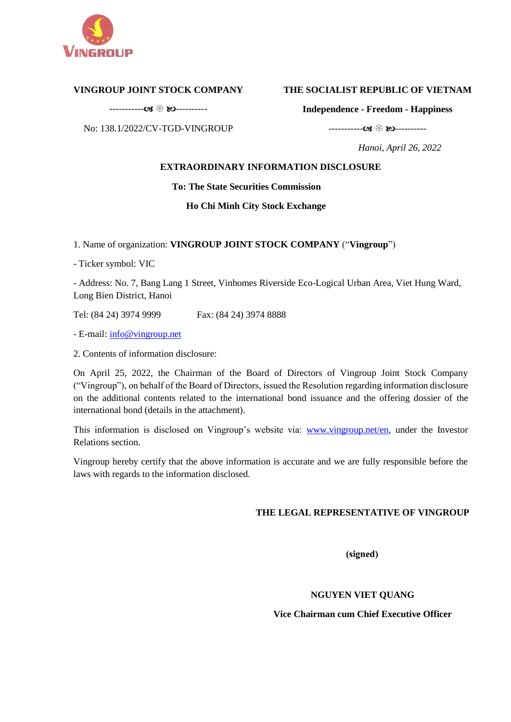

# **VINGROUP JOINT STOCK COMPANY**

----------- ----------

No: 138.1/2022/CV-TGD-VINGROUP

# **THE SOCIALIST REPUBLIC OF VIETNAM**

**Independence - Freedom - Happiness**

----------- ----------

 *Hanoi, April 26, 2022*

# **EXTRAORDINARY INFORMATION DISCLOSURE**

# **To: The State Securities Commission**

# **Ho Chi Minh City Stock Exchange**

1. Name of organization: **VINGROUP JOINT STOCK COMPANY** ("**Vingroup**")

- Ticker symbol: VIC

- Address: No. 7, Bang Lang 1 Street, Vinhomes Riverside Eco-Logical Urban Area, Viet Hung Ward, Long Bien District, Hanoi

Tel: (84 24) 3974 9999 Fax: (84 24) 3974 8888

- E-mail: [info@vingroup.net](mailto:info@vingroup.net)

2. Contents of information disclosure:

On April 25, 2022, the Chairman of the Board of Directors of Vingroup Joint Stock Company ("Vingroup"), on behalf of the Board of Directors, issued the Resolution regarding information disclosure on the additional contents related to the international bond issuance and the offering dossier of the international bond (details in the attachment).

This information is disclosed on Vingroup's website via: [www.vingroup.net/en](https://www.vingroup.net/en)*,* under the Investor Relations section.

Vingroup hereby certify that the above information is accurate and we are fully responsible before the laws with regards to the information disclosed.

# **THE LEGAL REPRESENTATIVE OF VINGROUP**

(signed)

# **NGUYEN VIET QUANG**

# **Vice Chairman cum Chief Executive Officer**